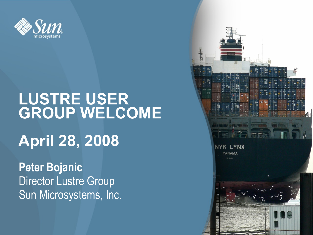

## **LUSTRE USER GROUP WELCOME April 28, 2008**

**Peter Bojanic** Director Lustre Group Sun Microsystems, Inc.

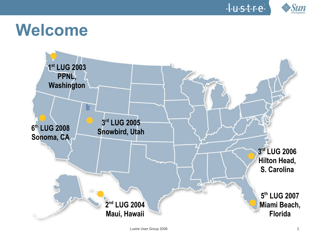



## **Welcome**

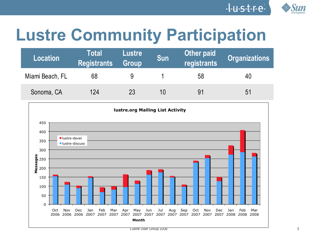

# **Lustre Community Participation**

| Location        | <b>Total</b><br><b>Registrants</b> | <b>Lustre</b><br><b>Group</b> | <b>Sun</b> | <b>Other paid</b><br>registrants | <b>Organizations</b> |
|-----------------|------------------------------------|-------------------------------|------------|----------------------------------|----------------------|
| Miami Beach, FL | 68                                 |                               |            | 58                               | 40                   |
| Sonoma, CA      | 124                                | 23                            | 10         | 91                               | 51                   |

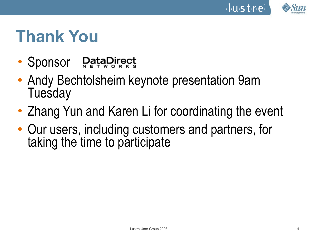

## **Thank You**

- Sponsor DataDirect
- Andy Bechtolsheim keynote presentation 9am **Tuesday**
- Zhang Yun and Karen Li for coordinating the event
- Our users, including customers and partners, for taking the time to participate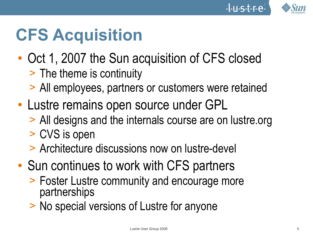



## **CFS Acquisition**

- Oct 1, 2007 the Sun acquisition of CFS closed > The theme is continuity
	- > All employees, partners or customers were retained
- Lustre remains open source under GPL
	- > All designs and the internals course are on lustre.org
	- > CVS is open
	- > Architecture discussions now on lustre-devel
- Sun continues to work with CFS partners
	- > Foster Lustre community and encourage more partnerships
	- > No special versions of Lustre for anyone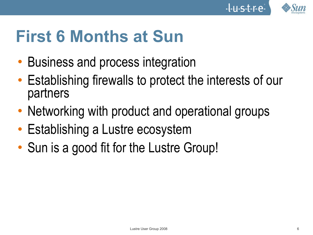

 $-1.4.5.1.7e$ 

## **First 6 Months at Sun**

- Business and process integration
- Establishing firewalls to protect the interests of our partners
- Networking with product and operational groups
- Establishing a Lustre ecosystem
- Sun is a good fit for the Lustre Group!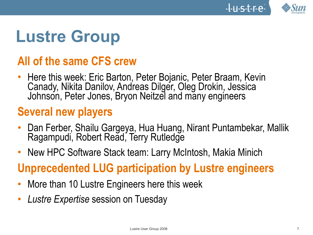



## **Lustre Group**

#### **All of the same CFS crew**

• Here this week: Eric Barton, Peter Bojanic, Peter Braam, Kevin Canady, Nikita Danilov, Andreas Dilger, Oleg Drokin, Jessica Johnson, Peter Jones, Bryon Neitzel and many engineers

#### **Several new players**

- Dan Ferber, Shailu Gargeya, Hua Huang, Nirant Puntambekar, Mallik Ragampudi, Robert Read, Terry Rutledge
- New HPC Software Stack team: Larry McIntosh, Makia Minich

#### **Unprecedented LUG participation by Lustre engineers**

- More than 10 Lustre Engineers here this week
- *Lustre Expertise* session on Tuesday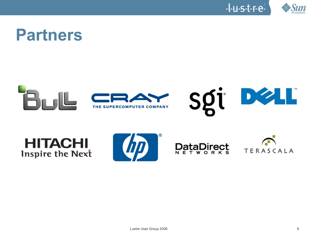



## **Partners**









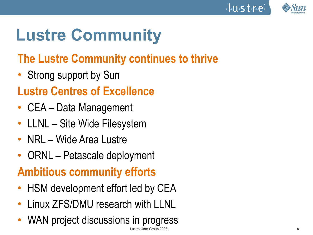# **Lustre Community**

## **The Lustre Community continues to thrive**

• Strong support by Sun

### **Lustre Centres of Excellence**

- CEA Data Management
- LLNL Site Wide Filesystem
- NRL Wide Area Lustre
- ORNL Petascale deployment

## **Ambitious community efforts**

- HSM development effort led by CEA
- Linux ZFS/DMU research with LLNL
- Lustre User Group 2008 9 WAN project discussions in progress

I.U.S.t.r.e.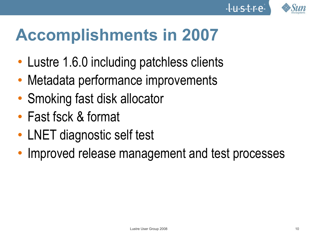

# **Accomplishments in 2007**

- Lustre 1.6.0 including patchless clients
- Metadata performance improvements
- Smoking fast disk allocator
- Fast fsck & format
- LNET diagnostic self test
- Improved release management and test processes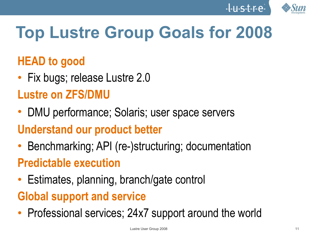



# **Top Lustre Group Goals for 2008**

#### **HEAD to good**

• Fix bugs; release Lustre 2.0

#### **Lustre on ZFS/DMU**

• DMU performance; Solaris; user space servers

#### **Understand our product better**

• Benchmarking; API (re-)structuring; documentation

#### **Predictable execution**

• Estimates, planning, branch/gate control

## **Global support and service**

• Professional services; 24x7 support around the world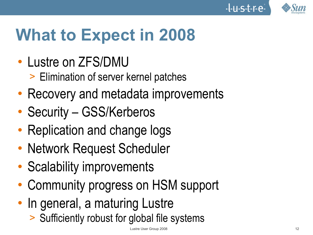



# **What to Expect in 2008**

- Lustre on ZFS/DMU
	- > Elimination of server kernel patches
- Recovery and metadata improvements
- Security GSS/Kerberos
- Replication and change logs
- Network Request Scheduler
- Scalability improvements
- Community progress on HSM support
- In general, a maturing Lustre
	- > Sufficiently robust for global file systems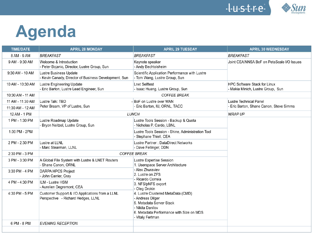

## **Agenda**

| <b>TIME/DATE</b> | <b>APRIL 28 MONDAY</b>                                                                | <b>APRIL 29 TUESDAY</b>                                                                                                                                                | <b>APRIL 30 WEDNESDAY</b>                                                |  |
|------------------|---------------------------------------------------------------------------------------|------------------------------------------------------------------------------------------------------------------------------------------------------------------------|--------------------------------------------------------------------------|--|
| 8 AM - 9 AM      | <b>BREAKFAST</b>                                                                      | <b>BREAKFAST</b>                                                                                                                                                       | <b>BREAKFAST</b>                                                         |  |
| 9 AM - 9:30 AM   | Welcome & Introduction<br>- Peter Bojanic, Director, Lustre Group, Sun                | Keynote speaker<br>- Andy Bechtolsheim                                                                                                                                 | Joint CEA/NNSA BoF on PetaScale I/O Issues                               |  |
| 9:30 AM - 10 AM  | Lustre Business Update<br>- Kevin Canady, Director of Business Development, Sun       | Scientific Application Performance with Lustre<br>- Tom Wang, Lustre Group, Sun                                                                                        |                                                                          |  |
| 10 AM - 10:30 AM | Lustre Engineering Update<br>- Eric Barton, Lustre Lead Engineer, Sun                 | <b>Lnet Selftest</b><br>- Isaac Huang, Lustre Group, Sun                                                                                                               | <b>HPC Software Stack for Linux</b><br>- Makia Minich, Lustre Group, Sun |  |
| 10:30 AM - 11 AM |                                                                                       |                                                                                                                                                                        |                                                                          |  |
| 11 AM - 11:30 AM | Lustre Talk: TBD                                                                      | - BoF on Lustre over WAN                                                                                                                                               | Lustre Technical Panel                                                   |  |
| 11:30 AM - 12 AM | Peter Braam, VP of Lustre, Sun                                                        | Eric Barton, IU, ORNL, TACC                                                                                                                                            | - Eric Barton, Shane Canon, Steve Simms                                  |  |
| 12 AM - 1 PM     | <b>LUNCH</b>                                                                          | <b>WRAP UP</b>                                                                                                                                                         |                                                                          |  |
| 1 PM - 1:30 PM   | Lustre Roadmap Update<br>Bryon Neitzel, Lustre Group, Sun                             | Lustre Tools Session - Backup & Quota<br>- Nicholas P. Cardo, LBNL                                                                                                     |                                                                          |  |
| 1:30 PM - 2PM    |                                                                                       | Lustre Tools Session - Shine, Administration Tool<br>- Stephane Thiell, CEA                                                                                            |                                                                          |  |
| 2 PM - 2:30 PM   | Lustre at LLNL<br>- Marc Stearman, LLNL                                               | Lustre Partner: DataDirect Networks<br>- Dave Fellinger, DDN                                                                                                           |                                                                          |  |
| 2:30 PM - 3 PM   | <b>COFFEE BREAK</b>                                                                   |                                                                                                                                                                        |                                                                          |  |
| 3 PM - 3:30 PM   | A Global File System with Lustre & LNET Routers<br>- Shane Canon, ORNL                | Lustre Expertise Session<br>1. Userspace Server Architecture                                                                                                           |                                                                          |  |
| 3:30 PM - 4 PM   | <b>DARPA HPCS Project</b><br>- John Carrier, Cray                                     | - Alex Zhuraviev<br>2. Lustre on ZFS                                                                                                                                   |                                                                          |  |
| 4 PM - 4:30 PM   | ILM - Lustre HSM<br>- Aurelien Degremont, CEA                                         | - Ricardo Correia<br>3. NFS/pNFS export<br>- Oleg Drokin                                                                                                               |                                                                          |  |
| 4:30 PM - 5 PM   | Customer Support & I/O Applications from a LLNL<br>Perspective - Richard Hedges, LLNL | 4. Lustre Clustered MetaData (CMD)<br>- Andreas Dilger<br>5. Metadata Server Stack<br>- Nikita Danilov<br>6. Metadata Performance with Size on MDS<br>- Vitaly Fertman |                                                                          |  |
| 6 PM - 8 PM      | <b>EVENING RECEPTION</b>                                                              |                                                                                                                                                                        |                                                                          |  |
|                  |                                                                                       |                                                                                                                                                                        |                                                                          |  |